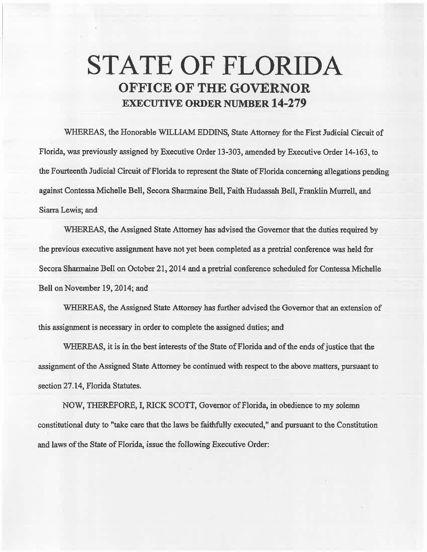## **STATE OF FLORIDA OFFICE OF THE GOVERNOR EXECUTIVE ORDER NUMBER 14-279**

WHEREAS, the Honorable WILLIAM EDDINS, State Attorney for the First Judicial Circait of Florida, was previously assigned by Executive Order 13-303, amended by Executive Order 14-163, to the Fourteenth Judicial Circuit of Florida to represent the State of Florida concerning allegations pending against Contessa Michelle Bell, Secora Sharmaine Bell, Faith Hudassah Bell, Franklin Murrell, and Siarra Lewis; and

WHEREAS, the Assigned State Attorney bas advised the Governor that the duties required by the previous executive assignment have not yet been completed as a pretrial conference was held for Secora Sharmaine Bell on October 21, 2014 and a pretrial conference scheduled for Contessa Michelle Bell on. November 19, 2014; and

WHEREAS, the Assigned State Attorney has further advised the Governor that an extension of this assignment is necessary in order to complete the assigned duties; and

WHEREAS, it is in the best interests of the State of Florida and of the ends of justice that the assignment of the Assigned State Attorney be continued with respect to the above matters, pursuant to section 27.14, Florida Statutes.

NOW, THEREFORE, I, RICK SCOTT, Governor of Florida, in obedience to my solemn constitutional duty to "take care that the laws be faithfully executed," and pursuant to the Constitution and laws of the State of Florida, issue the following Executive Order: